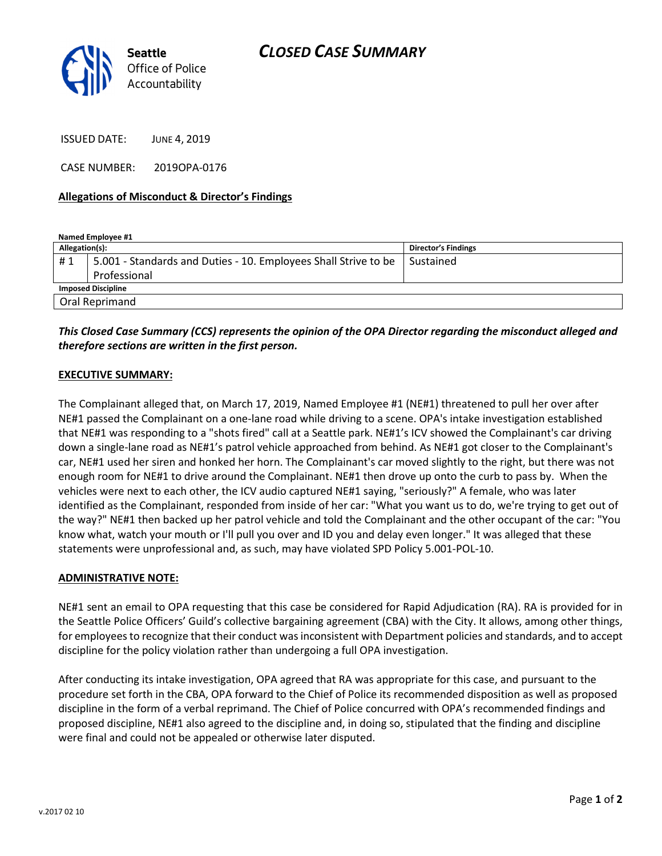

ISSUED DATE: JUNE 4, 2019

CASE NUMBER: 2019OPA-0176

### Allegations of Misconduct & Director's Findings

| Named Employee #1         |                                                                 |                            |
|---------------------------|-----------------------------------------------------------------|----------------------------|
| Allegation(s):            |                                                                 | <b>Director's Findings</b> |
| #1                        | 5.001 - Standards and Duties - 10. Employees Shall Strive to be | Sustained                  |
|                           | Professional                                                    |                            |
| <b>Imposed Discipline</b> |                                                                 |                            |
| Oral Reprimand            |                                                                 |                            |

## This Closed Case Summary (CCS) represents the opinion of the OPA Director regarding the misconduct alleged and therefore sections are written in the first person.

### EXECUTIVE SUMMARY:

The Complainant alleged that, on March 17, 2019, Named Employee #1 (NE#1) threatened to pull her over after NE#1 passed the Complainant on a one-lane road while driving to a scene. OPA's intake investigation established that NE#1 was responding to a "shots fired" call at a Seattle park. NE#1's ICV showed the Complainant's car driving down a single-lane road as NE#1's patrol vehicle approached from behind. As NE#1 got closer to the Complainant's car, NE#1 used her siren and honked her horn. The Complainant's car moved slightly to the right, but there was not enough room for NE#1 to drive around the Complainant. NE#1 then drove up onto the curb to pass by. When the vehicles were next to each other, the ICV audio captured NE#1 saying, "seriously?" A female, who was later identified as the Complainant, responded from inside of her car: "What you want us to do, we're trying to get out of the way?" NE#1 then backed up her patrol vehicle and told the Complainant and the other occupant of the car: "You know what, watch your mouth or I'll pull you over and ID you and delay even longer." It was alleged that these statements were unprofessional and, as such, may have violated SPD Policy 5.001-POL-10.

#### ADMINISTRATIVE NOTE:

NE#1 sent an email to OPA requesting that this case be considered for Rapid Adjudication (RA). RA is provided for in the Seattle Police Officers' Guild's collective bargaining agreement (CBA) with the City. It allows, among other things, for employees to recognize that their conduct was inconsistent with Department policies and standards, and to accept discipline for the policy violation rather than undergoing a full OPA investigation.

After conducting its intake investigation, OPA agreed that RA was appropriate for this case, and pursuant to the procedure set forth in the CBA, OPA forward to the Chief of Police its recommended disposition as well as proposed discipline in the form of a verbal reprimand. The Chief of Police concurred with OPA's recommended findings and proposed discipline, NE#1 also agreed to the discipline and, in doing so, stipulated that the finding and discipline were final and could not be appealed or otherwise later disputed.